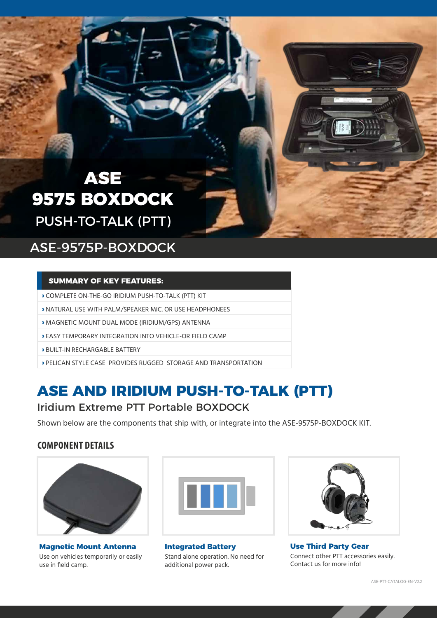## **ASE 9575 BOXDOCK** PUSH-TO-TALK (PTT)

## ASE-9575P-BOXDOCK

#### **SUMMARY OF KEY FEATURES:**

- **›** COMPLETE ON-THE-GO IRIDIUM PUSH-TO-TALK (PTT) KIT
- **›** NATURAL USE WITH PALM/SPEAKER MIC. OR USE HEADPHONEES
- **›** MAGNETIC MOUNT DUAL MODE (IRIDIUM/GPS) ANTENNA
- **›** EASY TEMPORARY INTEGRATION INTO VEHICLE-OR FIELD CAMP
- **›** BUILT-IN RECHARGABLE BATTERY
- **›** PELICAN STYLE CASE PROVIDES RUGGED STORAGE AND TRANSPORTATION

## **ASE AND IRIDIUM PUSH-TO-TALK (PTT)** Iridium Extreme PTT Portable BOXDOCK

Shown below are the components that ship with, or integrate into the ASE-9575P-BOXDOCK KIT.

### **COMPONENT DETAILS**



**Magnetic Mount Antenna**  Use on vehicles temporarily or easily use in field camp.



**Integrated Battery**  Stand alone operation. No need for additional power pack.



**Use Third Party Gear** Connect other PTT accessories easily. Contact us for more info!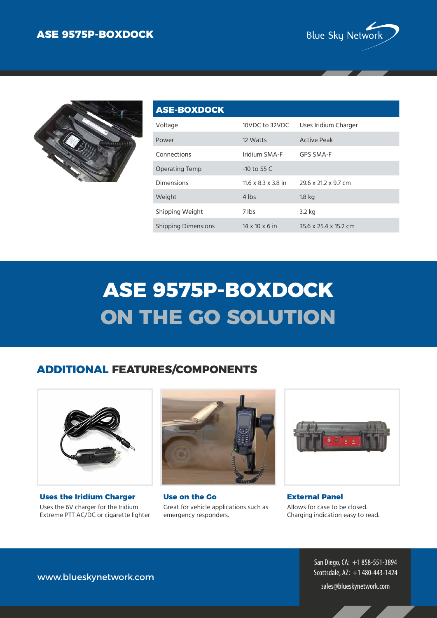



| <b>ASE-BOXDOCK</b>         |                                 |                       |
|----------------------------|---------------------------------|-----------------------|
| Voltage                    | 10VDC to 32VDC                  | Uses Iridium Charger  |
| Power                      | 12 Watts                        | <b>Active Peak</b>    |
| Connections                | Iridium SMA-F                   | GPS SMA-F             |
| <b>Operating Temp</b>      | $-10$ to 55 C                   |                       |
| Dimensions                 | $11.6 \times 8.3 \times 3.8$ in | 29.6 x 21.2 x 9.7 cm  |
| Weight                     | 4 lbs                           | 1.8 <sub>kq</sub>     |
| Shipping Weight            | 7 lbs                           | 3.2 kg                |
| <b>Shipping Dimensions</b> | $14 \times 10 \times 6$ in      | 35.6 x 25.4 x 15.2 cm |

# **ASE 9575P-BOXDOCK ON THE GO SOLUTION**

### **ADDITIONAL FEATURES/COMPONENTS**



**Uses the Iridium Charger** Uses the 6V charger for the Iridium Extreme PTT AC/DC or cigarette lighter



**Use on the Go** Great for vehicle applications such as emergency responders.



**External Panel** Allows for case to be closed. Charging indication easy to read.

San Diego, CA: +1 858-551-3894 Scottsdale, AZ: +1 480-443-1424

www.blueskynetwork.com

sales@blueskynetwork.com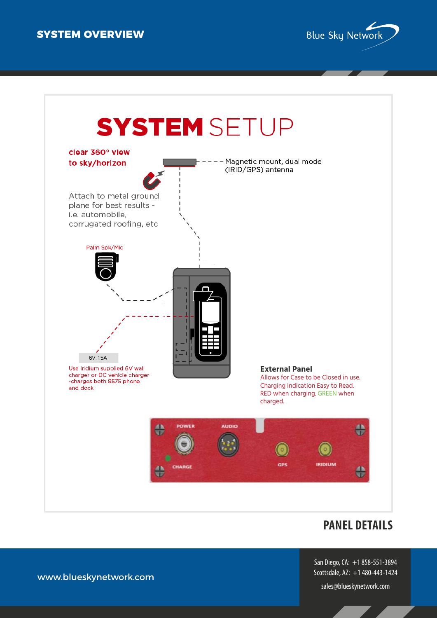



### **PANEL DETAILS**

San Diego, CA: +1 858-551-3894 Scottsdale, AZ: +1 480-443-1424

sales@blueskynetwork.com

www.blueskynetwork.com